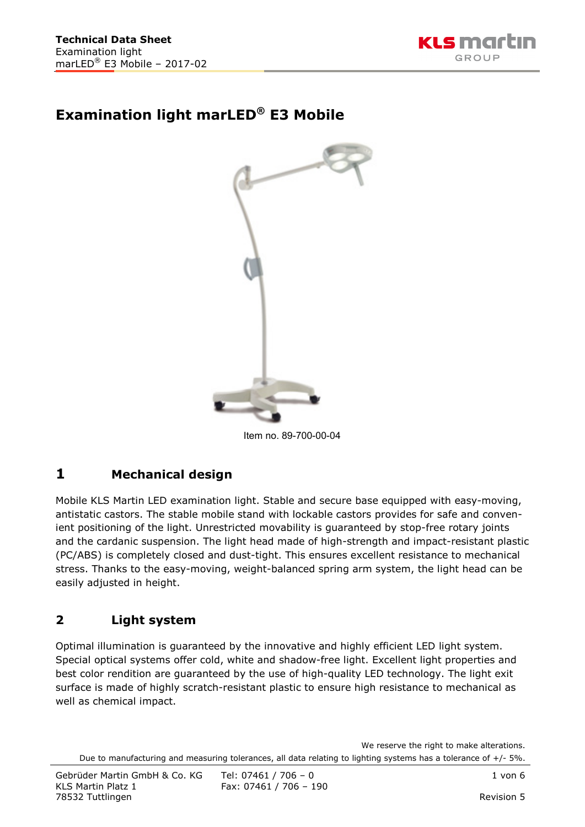

# **Examination light marLED® E3 Mobile**



Item no. 89-700-00-04

# **1 Mechanical design**

Mobile KLS Martin LED examination light. Stable and secure base equipped with easy-moving, antistatic castors. The stable mobile stand with lockable castors provides for safe and convenient positioning of the light. Unrestricted movability is guaranteed by stop-free rotary joints and the cardanic suspension. The light head made of high-strength and impact-resistant plastic (PC/ABS) is completely closed and dust-tight. This ensures excellent resistance to mechanical stress. Thanks to the easy-moving, weight-balanced spring arm system, the light head can be easily adjusted in height.

### **2 Light system**

Optimal illumination is guaranteed by the innovative and highly efficient LED light system. Special optical systems offer cold, white and shadow-free light. Excellent light properties and best color rendition are guaranteed by the use of high-quality LED technology. The light exit surface is made of highly scratch-resistant plastic to ensure high resistance to mechanical as well as chemical impact.

We reserve the right to make alterations. Due to manufacturing and measuring tolerances, all data relating to lighting systems has a tolerance of +/- 5%.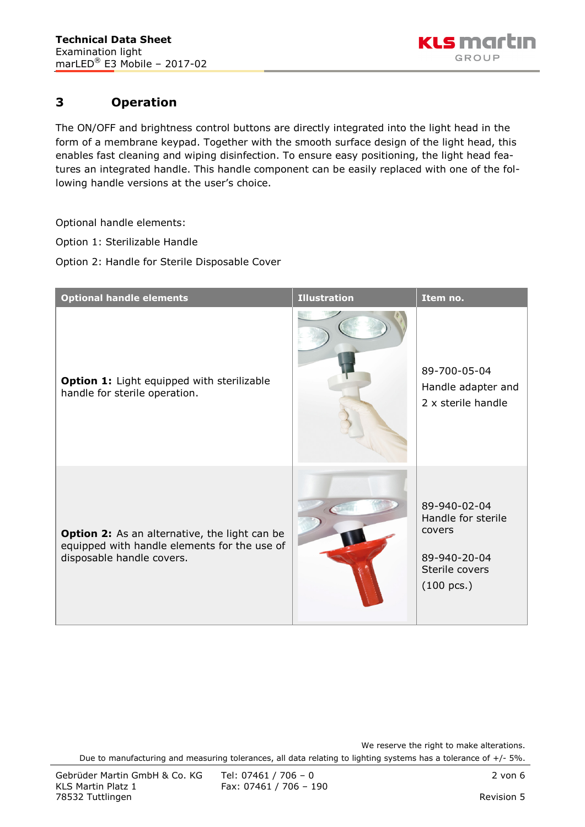

## **3 Operation**

The ON/OFF and brightness control buttons are directly integrated into the light head in the form of a membrane keypad. Together with the smooth surface design of the light head, this enables fast cleaning and wiping disinfection. To ensure easy positioning, the light head features an integrated handle. This handle component can be easily replaced with one of the following handle versions at the user's choice.

Optional handle elements:

Option 1: Sterilizable Handle

Option 2: Handle for Sterile Disposable Cover

| <b>Optional handle elements</b>                                                                                                   | <b>Illustration</b> | Item no.                                                                                               |
|-----------------------------------------------------------------------------------------------------------------------------------|---------------------|--------------------------------------------------------------------------------------------------------|
| Option 1: Light equipped with sterilizable<br>handle for sterile operation.                                                       |                     | 89-700-05-04<br>Handle adapter and<br>2 x sterile handle                                               |
| <b>Option 2:</b> As an alternative, the light can be<br>equipped with handle elements for the use of<br>disposable handle covers. |                     | 89-940-02-04<br>Handle for sterile<br>covers<br>89-940-20-04<br>Sterile covers<br>$(100 \text{ pcs.})$ |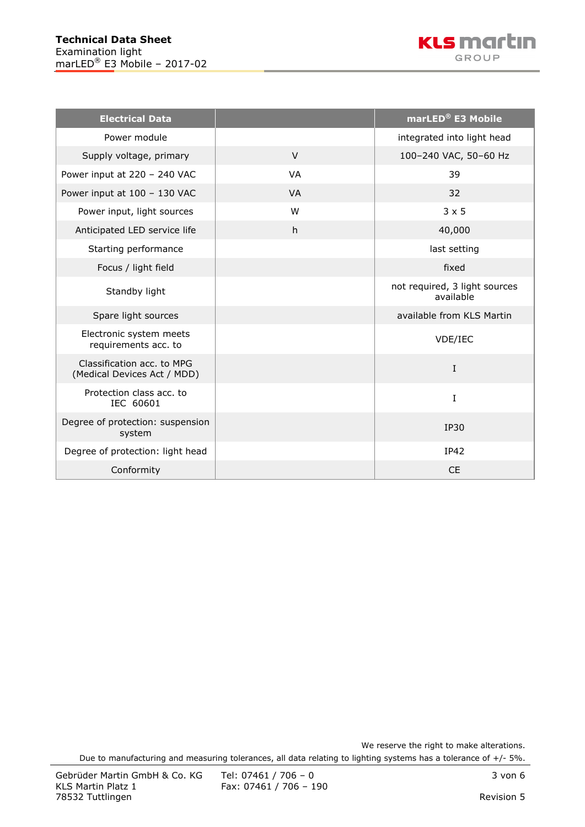

| <b>Electrical Data</b>                                    |           | marLED® E3 Mobile                          |
|-----------------------------------------------------------|-----------|--------------------------------------------|
| Power module                                              |           | integrated into light head                 |
| Supply voltage, primary                                   | $\vee$    | 100-240 VAC, 50-60 Hz                      |
| Power input at 220 - 240 VAC                              | <b>VA</b> | 39                                         |
| Power input at 100 - 130 VAC                              | <b>VA</b> | 32                                         |
| Power input, light sources                                | W         | $3 \times 5$                               |
| Anticipated LED service life                              | h         | 40,000                                     |
| Starting performance                                      |           | last setting                               |
| Focus / light field                                       |           | fixed                                      |
| Standby light                                             |           | not required, 3 light sources<br>available |
| Spare light sources                                       |           | available from KLS Martin                  |
| Electronic system meets<br>requirements acc. to           |           | VDE/IEC                                    |
| Classification acc. to MPG<br>(Medical Devices Act / MDD) |           | $\mathbf I$                                |
| Protection class acc. to<br>IEC 60601                     |           | I                                          |
| Degree of protection: suspension<br>system                |           | <b>IP30</b>                                |
| Degree of protection: light head                          |           | <b>IP42</b>                                |
| Conformity                                                |           | <b>CE</b>                                  |

We reserve the right to make alterations.

Due to manufacturing and measuring tolerances, all data relating to lighting systems has a tolerance of +/- 5%.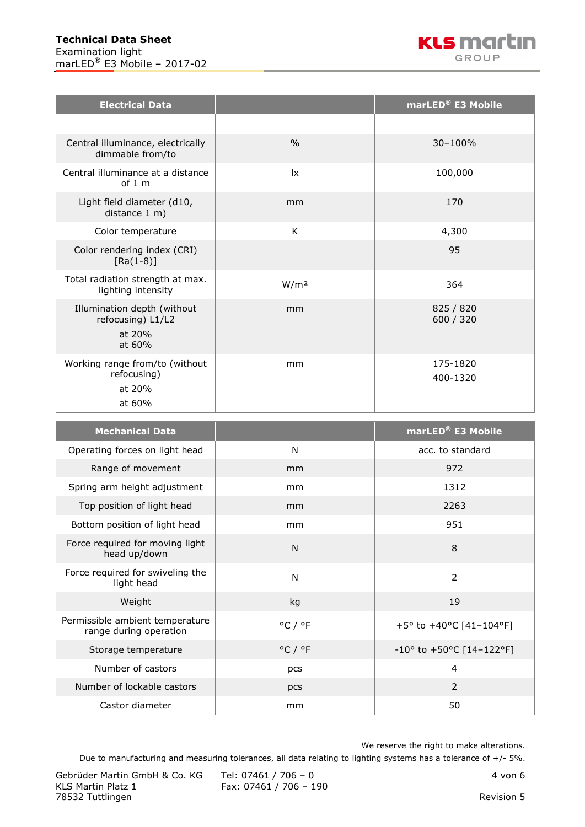| <b>Electrical Data</b>                                               |                        | marLED <sup>®</sup> E3 Mobile |
|----------------------------------------------------------------------|------------------------|-------------------------------|
|                                                                      |                        |                               |
| Central illuminance, electrically<br>dimmable from/to                | $\frac{0}{0}$          | $30 - 100%$                   |
| Central illuminance at a distance<br>of $1 \text{ m}$                | $\mathsf{I}\mathsf{x}$ | 100,000                       |
| Light field diameter (d10,<br>distance 1 m)                          | mm                     | 170                           |
| Color temperature                                                    | K                      | 4,300                         |
| Color rendering index (CRI)<br>$[Ra(1-8)]$                           |                        | 95                            |
| Total radiation strength at max.<br>lighting intensity               | W/m <sup>2</sup>       | 364                           |
| Illumination depth (without<br>refocusing) L1/L2<br>at 20%<br>at 60% | mm                     | 825 / 820<br>600 / 320        |
| Working range from/to (without<br>refocusing)<br>at 20%<br>at 60%    | mm                     | 175-1820<br>400-1320          |

| <b>Mechanical Data</b>                                    |                             | marLED <sup>®</sup> E3 Mobile               |
|-----------------------------------------------------------|-----------------------------|---------------------------------------------|
| Operating forces on light head                            | N                           | acc. to standard                            |
| Range of movement                                         | mm                          | 972                                         |
| Spring arm height adjustment                              | mm                          | 1312                                        |
| Top position of light head                                | mm                          | 2263                                        |
| Bottom position of light head                             | mm                          | 951                                         |
| Force required for moving light<br>head up/down           | N                           | 8                                           |
| Force required for swiveling the<br>light head            | N                           | $\overline{2}$                              |
| Weight                                                    | kg                          | 19                                          |
| Permissible ambient temperature<br>range during operation | $^{\circ}$ C / $^{\circ}$ F | +5° to +40°C [41-104°F]                     |
| Storage temperature                                       | $^{\circ}$ C / $^{\circ}$ F | $-10^{\circ}$ to $+50^{\circ}$ C [14-122°F] |
| Number of castors                                         | pcs                         | 4                                           |
| Number of lockable castors                                | pcs                         | $\overline{2}$                              |
| Castor diameter                                           | mm                          | 50                                          |

We reserve the right to make alterations.

Due to manufacturing and measuring tolerances, all data relating to lighting systems has a tolerance of +/- 5%.

Fax: 07461 / 706 - 190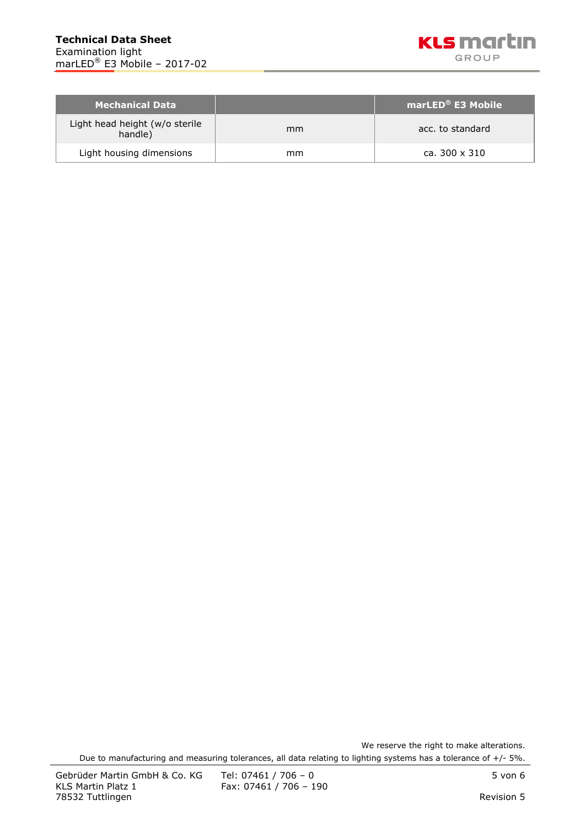

| <b>Mechanical Data</b>                    |    | marLED <sup>®</sup> E3 Mobile |
|-------------------------------------------|----|-------------------------------|
| Light head height (w/o sterile<br>handle) | mm | acc. to standard              |
| Light housing dimensions                  | mm | ca. 300 x 310                 |

We reserve the right to make alterations. Due to manufacturing and measuring tolerances, all data relating to lighting systems has a tolerance of +/- 5%.

Fax: 07461 / 706 - 190